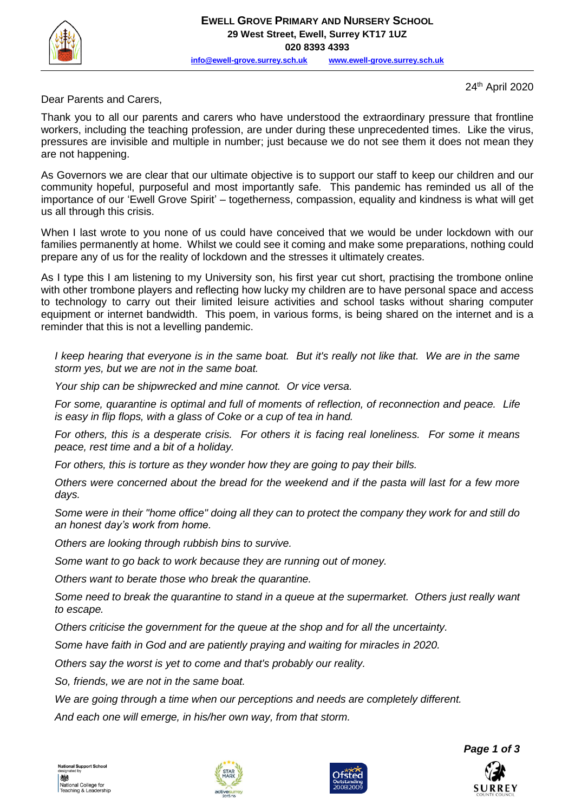

**[info@ewell-grove.surrey.sch.uk](mailto:info@ewell-grove.surrey.sch.uk) [www.ewell-grove.surrey.sch.uk](http://www.ewell-grove.surrey.sch.uk/)**

24th April 2020

Dear Parents and Carers,

Thank you to all our parents and carers who have understood the extraordinary pressure that frontline workers, including the teaching profession, are under during these unprecedented times. Like the virus, pressures are invisible and multiple in number; just because we do not see them it does not mean they are not happening.

As Governors we are clear that our ultimate objective is to support our staff to keep our children and our community hopeful, purposeful and most importantly safe. This pandemic has reminded us all of the importance of our 'Ewell Grove Spirit' – togetherness, compassion, equality and kindness is what will get us all through this crisis.

When I last wrote to you none of us could have conceived that we would be under lockdown with our families permanently at home. Whilst we could see it coming and make some preparations, nothing could prepare any of us for the reality of lockdown and the stresses it ultimately creates.

As I type this I am listening to my University son, his first year cut short, practising the trombone online with other trombone players and reflecting how lucky my children are to have personal space and access to technology to carry out their limited leisure activities and school tasks without sharing computer equipment or internet bandwidth. This poem, in various forms, is being shared on the internet and is a reminder that this is not a levelling pandemic.

*I* keep hearing that everyone is in the same boat. But it's really not like that. We are in the same *storm yes, but we are not in the same boat.*

*Your ship can be shipwrecked and mine cannot. Or vice versa.*

*For some, quarantine is optimal and full of moments of reflection, of reconnection and peace. Life is easy in flip flops, with a glass of Coke or a cup of tea in hand.*

*For others, this is a desperate crisis. For others it is facing real loneliness. For some it means peace, rest time and a bit of a holiday.*

*For others, this is torture as they wonder how they are going to pay their bills.*

*Others were concerned about the bread for the weekend and if the pasta will last for a few more days.*

*Some were in their "home office" doing all they can to protect the company they work for and still do an honest day's work from home.*

*Others are looking through rubbish bins to survive.*

*Some want to go back to work because they are running out of money.*

*Others want to berate those who break the quarantine.*

*Some need to break the quarantine to stand in a queue at the supermarket. Others just really want to escape.*

*Others criticise the government for the queue at the shop and for all the uncertainty.*

*Some have faith in God and are patiently praying and waiting for miracles in 2020.*

*Others say the worst is yet to come and that's probably our reality.* 

*So, friends, we are not in the same boat.*

*We are going through a time when our perceptions and needs are completely different.*

*And each one will emerge, in his/her own way, from that storm.*





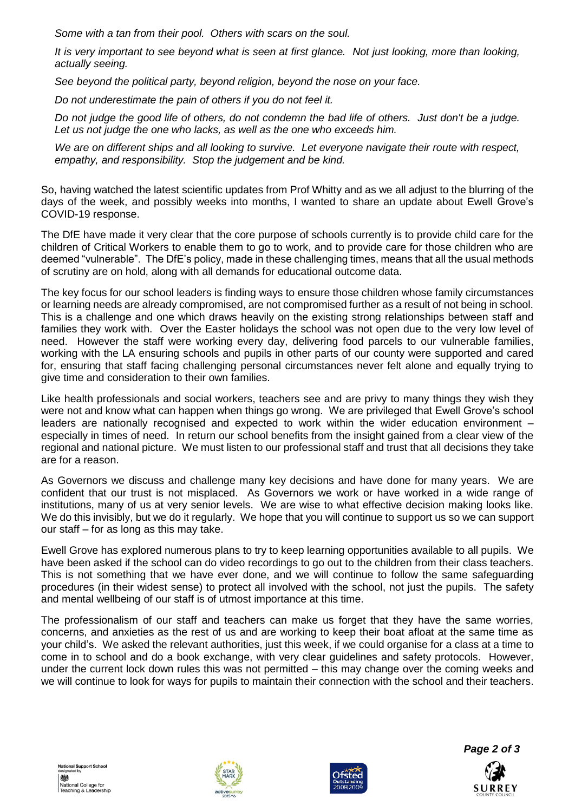*Some with a tan from their pool. Others with scars on the soul.*

*It is very important to see beyond what is seen at first glance. Not just looking, more than looking, actually seeing.*

*See beyond the political party, beyond religion, beyond the nose on your face.*

*Do not underestimate the pain of others if you do not feel it.*

*Do not judge the good life of others, do not condemn the bad life of others. Just don't be a judge. Let us not judge the one who lacks, as well as the one who exceeds him.*

*We are on different ships and all looking to survive. Let everyone navigate their route with respect, empathy, and responsibility. Stop the judgement and be kind.*

So, having watched the latest scientific updates from Prof Whitty and as we all adjust to the blurring of the days of the week, and possibly weeks into months, I wanted to share an update about Ewell Grove's COVID-19 response.

The DfE have made it very clear that the core purpose of schools currently is to provide child care for the children of Critical Workers to enable them to go to work, and to provide care for those children who are deemed "vulnerable". The DfE's policy, made in these challenging times, means that all the usual methods of scrutiny are on hold, along with all demands for educational outcome data.

The key focus for our school leaders is finding ways to ensure those children whose family circumstances or learning needs are already compromised, are not compromised further as a result of not being in school. This is a challenge and one which draws heavily on the existing strong relationships between staff and families they work with. Over the Easter holidays the school was not open due to the very low level of need. However the staff were working every day, delivering food parcels to our vulnerable families, working with the LA ensuring schools and pupils in other parts of our county were supported and cared for, ensuring that staff facing challenging personal circumstances never felt alone and equally trying to give time and consideration to their own families.

Like health professionals and social workers, teachers see and are privy to many things they wish they were not and know what can happen when things go wrong. We are privileged that Ewell Grove's school leaders are nationally recognised and expected to work within the wider education environment – especially in times of need. In return our school benefits from the insight gained from a clear view of the regional and national picture. We must listen to our professional staff and trust that all decisions they take are for a reason.

As Governors we discuss and challenge many key decisions and have done for many years. We are confident that our trust is not misplaced. As Governors we work or have worked in a wide range of institutions, many of us at very senior levels. We are wise to what effective decision making looks like. We do this invisibly, but we do it regularly. We hope that you will continue to support us so we can support our staff – for as long as this may take.

Ewell Grove has explored numerous plans to try to keep learning opportunities available to all pupils. We have been asked if the school can do video recordings to go out to the children from their class teachers. This is not something that we have ever done, and we will continue to follow the same safeguarding procedures (in their widest sense) to protect all involved with the school, not just the pupils. The safety and mental wellbeing of our staff is of utmost importance at this time.

The professionalism of our staff and teachers can make us forget that they have the same worries, concerns, and anxieties as the rest of us and are working to keep their boat afloat at the same time as your child's. We asked the relevant authorities, just this week, if we could organise for a class at a time to come in to school and do a book exchange, with very clear guidelines and safety protocols. However, under the current lock down rules this was not permitted – this may change over the coming weeks and we will continue to look for ways for pupils to maintain their connection with the school and their teachers.







SURREY